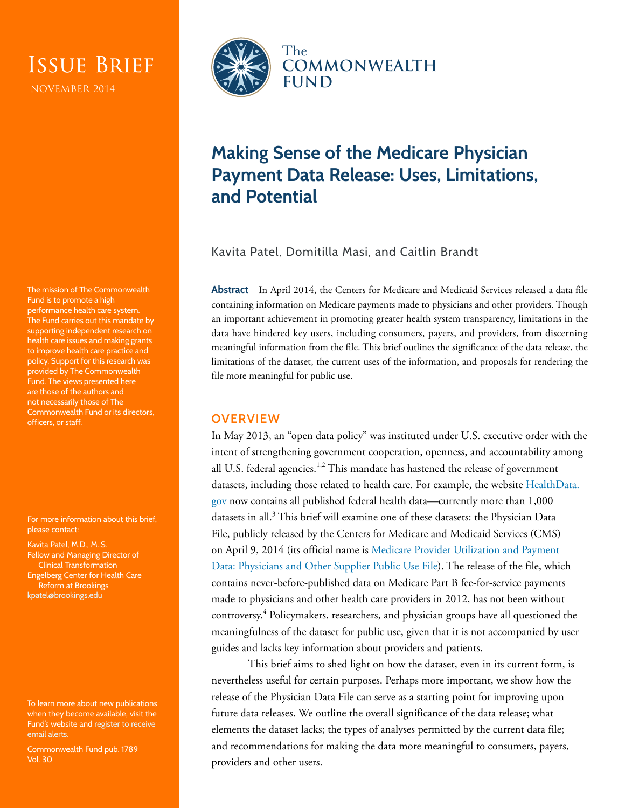# Issue Brief

NOVEMBER 2014

The mission of The Commonwealth Fund is to promote a high performance health care system. The Fund carries out this mandate by supporting independent research on health care issues and making grants to improve health care practice and policy. Support for this research was provided by The Commonwealth Fund. The views presented here are those of the authors and not necessarily those of The Commonwealth Fund or its directors, officers, or staff.

For more information about this brief, please contact:

Kavita Patel, M.D., M..S. Fellow and Managing Director of Clinical Transformation Engelberg Center for Health Care Reform at Brookings [kpatel@brookings.edu](mailto:kpatel@brookings.edu)

To learn more about new publications when they become available, visit the Fund's website and [register to receive](http://www.commonwealthfund.org/myprofile/myprofile_edit.htm)  [email alerts.](http://www.commonwealthfund.org/myprofile/myprofile_edit.htm)

Commonwealth Fund pub. 1789 Vol. 30



# **Making Sense of the Medicare Physician Payment Data Release: Uses, Limitations, and Potential**

Kavita Patel, Domitilla Masi, and Caitlin Brandt

**Abstract** In April 2014, the Centers for Medicare and Medicaid Services released a data file containing information on Medicare payments made to physicians and other providers. Though an important achievement in promoting greater health system transparency, limitations in the data have hindered key users, including consumers, payers, and providers, from discerning meaningful information from the file. This brief outlines the significance of the data release, the limitations of the dataset, the current uses of the information, and proposals for rendering the file more meaningful for public use.

# **OVERVIEW**

In May 2013, an "open data policy" was instituted under U.S. executive order with the intent of strengthening government cooperation, openness, and accountability among all U.S. federal agencies.<sup>1,2</sup> This mandate has hastened the release of government datasets, including those related to health care. For example, the website [HealthData.](http://healthdata.gov/) [gov](http://healthdata.gov/) now contains all published federal health data—currently more than 1,000 datasets in all.<sup>3</sup> This brief will examine one of these datasets: the Physician Data File, publicly released by the Centers for Medicare and Medicaid Services (CMS) on April 9, 2014 (its official name is [Medicare Provider Utilization and Payment](http://www.cms.gov/Research-Statistics-Data-and-Systems/Statistics-Trends-and-Reports/Medicare-Provider-Charge-Data/Physician-and-Other-Supplier.html)  [Data: Physicians and Other Supplier Public Use File\)](http://www.cms.gov/Research-Statistics-Data-and-Systems/Statistics-Trends-and-Reports/Medicare-Provider-Charge-Data/Physician-and-Other-Supplier.html). The release of the file, which contains never-before-published data on Medicare Part B fee-for-service payments made to physicians and other health care providers in 2012, has not been without controversy.<sup>4</sup> Policymakers, researchers, and physician groups have all questioned the meaningfulness of the dataset for public use, given that it is not accompanied by user guides and lacks key information about providers and patients.

This brief aims to shed light on how the dataset, even in its current form, is nevertheless useful for certain purposes. Perhaps more important, we show how the release of the Physician Data File can serve as a starting point for improving upon future data releases. We outline the overall significance of the data release; what elements the dataset lacks; the types of analyses permitted by the current data file; and recommendations for making the data more meaningful to consumers, payers, providers and other users.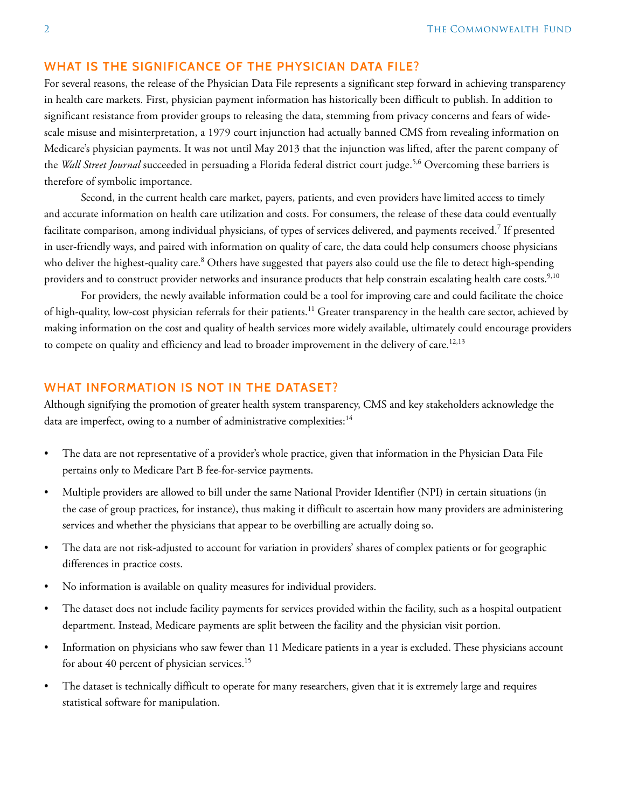## **WHAT IS THE SIGNIFICANCE OF THE PHYSICIAN DATA FILE?**

For several reasons, the release of the Physician Data File represents a significant step forward in achieving transparency in health care markets. First, physician payment information has historically been difficult to publish. In addition to significant resistance from provider groups to releasing the data, stemming from privacy concerns and fears of widescale misuse and misinterpretation, a 1979 court injunction had actually banned CMS from revealing information on Medicare's physician payments. It was not until May 2013 that the injunction was lifted, after the parent company of the *Wall Street Journal* succeeded in persuading a Florida federal district court judge.5,6 Overcoming these barriers is therefore of symbolic importance.

Second, in the current health care market, payers, patients, and even providers have limited access to timely and accurate information on health care utilization and costs. For consumers, the release of these data could eventually facilitate comparison, among individual physicians, of types of services delivered, and payments received.<sup>7</sup> If presented in user-friendly ways, and paired with information on quality of care, the data could help consumers choose physicians who deliver the highest-quality care.<sup>8</sup> Others have suggested that payers also could use the file to detect high-spending providers and to construct provider networks and insurance products that help constrain escalating health care costs.<sup>9,10</sup>

For providers, the newly available information could be a tool for improving care and could facilitate the choice of high-quality, low-cost physician referrals for their patients.11 Greater transparency in the health care sector, achieved by making information on the cost and quality of health services more widely available, ultimately could encourage providers to compete on quality and efficiency and lead to broader improvement in the delivery of care.<sup>12,13</sup>

# **WHAT INFORMATION IS NOT IN THE DATASET?**

Although signifying the promotion of greater health system transparency, CMS and key stakeholders acknowledge the data are imperfect, owing to a number of administrative complexities:<sup>14</sup>

- The data are not representative of a provider's whole practice, given that information in the Physician Data File pertains only to Medicare Part B fee-for-service payments.
- Multiple providers are allowed to bill under the same National Provider Identifier (NPI) in certain situations (in the case of group practices, for instance), thus making it difficult to ascertain how many providers are administering services and whether the physicians that appear to be overbilling are actually doing so.
- The data are not risk-adjusted to account for variation in providers' shares of complex patients or for geographic differences in practice costs.
- No information is available on quality measures for individual providers.
- The dataset does not include facility payments for services provided within the facility, such as a hospital outpatient department. Instead, Medicare payments are split between the facility and the physician visit portion.
- Information on physicians who saw fewer than 11 Medicare patients in a year is excluded. These physicians account for about 40 percent of physician services.<sup>15</sup>
- The dataset is technically difficult to operate for many researchers, given that it is extremely large and requires statistical software for manipulation.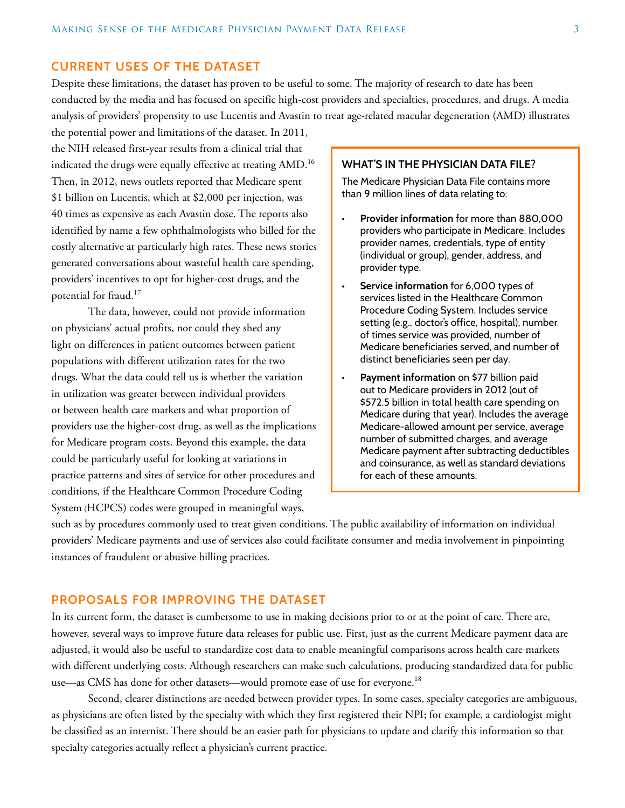#### **CURRENT USES OF THE DATASET**

Despite these limitations, the dataset has proven to be useful to some. The majority of research to date has been conducted by the media and has focused on specific high-cost providers and specialties, procedures, and drugs. A media analysis of providers' propensity to use Lucentis and Avastin to treat age-related macular degeneration (AMD) illustrates

the potential power and limitations of the dataset. In 2011, the NIH released first-year results from a clinical trial that indicated the drugs were equally effective at treating AMD.<sup>16</sup> Then, in 2012, news outlets reported that Medicare spent \$1 billion on Lucentis, which at \$2,000 per injection, was 40 times as expensive as each Avastin dose. The reports also identified by name a few ophthalmologists who billed for the costly alternative at particularly high rates. These news stories generated conversations about wasteful health care spending, providers' incentives to opt for higher-cost drugs, and the potential for fraud.<sup>17</sup>

The data, however, could not provide information on physicians' actual profits, nor could they shed any light on differences in patient outcomes between patient populations with different utilization rates for the two drugs. What the data could tell us is whether the variation in utilization was greater between individual providers or between health care markets and what proportion of providers use the higher-cost drug, as well as the implications for Medicare program costs. Beyond this example, the data could be particularly useful for looking at variations in practice patterns and sites of service for other procedures and conditions, if the Healthcare Common Procedure Coding System (HCPCS) codes were grouped in meaningful ways,

#### **WHAT'S IN THE PHYSICIAN DATA FILE?**

The Medicare Physician Data File contains more than 9 million lines of data relating to:

- **• Provider information** for more than 880,000 providers who participate in Medicare. Includes provider names, credentials, type of entity (individual or group), gender, address, and provider type.
- **• Service information** for 6,000 types of services listed in the Healthcare Common Procedure Coding System. Includes service setting (e.g., doctor's office, hospital), number of times service was provided, number of Medicare beneficiaries served, and number of distinct beneficiaries seen per day.
- **• Payment information** on \$77 billion paid out to Medicare providers in 2012 (out of \$572.5 billion in total health care spending on Medicare during that year). Includes the average Medicare-allowed amount per service, average number of submitted charges, and average Medicare payment after subtracting deductibles and coinsurance, as well as standard deviations for each of these amounts.

such as by procedures commonly used to treat given conditions. The public availability of information on individual providers' Medicare payments and use of services also could facilitate consumer and media involvement in pinpointing instances of fraudulent or abusive billing practices.

# **PROPOSALS FOR IMPROVING THE DATASET**

In its current form, the dataset is cumbersome to use in making decisions prior to or at the point of care. There are, however, several ways to improve future data releases for public use. First, just as the current Medicare payment data are adjusted, it would also be useful to standardize cost data to enable meaningful comparisons across health care markets with different underlying costs. Although researchers can make such calculations, producing standardized data for public use—as CMS has done for other datasets—would promote ease of use for everyone.<sup>18</sup>

Second, clearer distinctions are needed between provider types. In some cases, specialty categories are ambiguous, as physicians are often listed by the specialty with which they first registered their NPI; for example, a cardiologist might be classified as an internist. There should be an easier path for physicians to update and clarify this information so that specialty categories actually reflect a physician's current practice.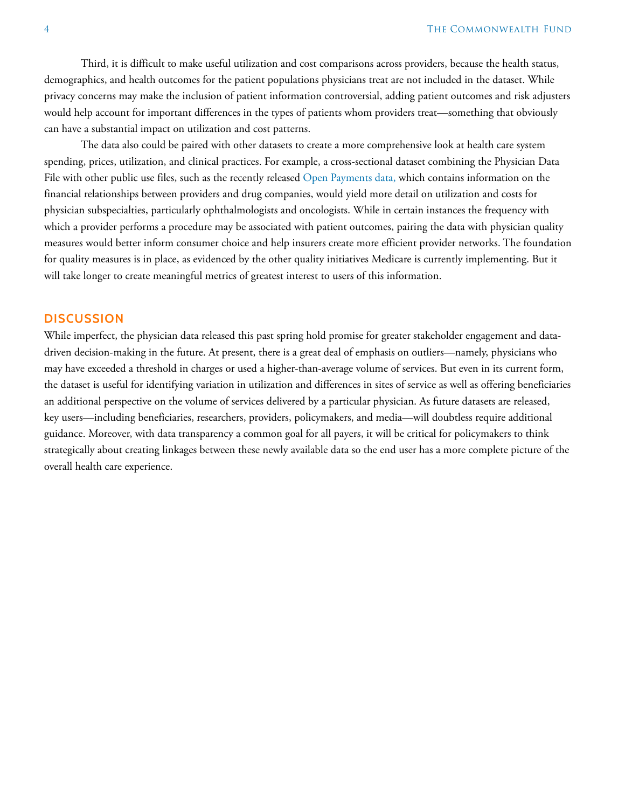Third, it is difficult to make useful utilization and cost comparisons across providers, because the health status, demographics, and health outcomes for the patient populations physicians treat are not included in the dataset. While privacy concerns may make the inclusion of patient information controversial, adding patient outcomes and risk adjusters would help account for important differences in the types of patients whom providers treat—something that obviously can have a substantial impact on utilization and cost patterns.

The data also could be paired with other datasets to create a more comprehensive look at health care system spending, prices, utilization, and clinical practices. For example, a cross-sectional dataset combining the Physician Data File with other public use files, such as the recently released [Open Payments data](http://www.cms.gov/openpayments/index.html), which contains information on the financial relationships between providers and drug companies, would yield more detail on utilization and costs for physician subspecialties, particularly ophthalmologists and oncologists. While in certain instances the frequency with which a provider performs a procedure may be associated with patient outcomes, pairing the data with physician quality measures would better inform consumer choice and help insurers create more efficient provider networks. The foundation for quality measures is in place, as evidenced by the other quality initiatives Medicare is currently implementing. But it will take longer to create meaningful metrics of greatest interest to users of this information.

#### **DISCUSSION**

While imperfect, the physician data released this past spring hold promise for greater stakeholder engagement and datadriven decision-making in the future. At present, there is a great deal of emphasis on outliers—namely, physicians who may have exceeded a threshold in charges or used a higher-than-average volume of services. But even in its current form, the dataset is useful for identifying variation in utilization and differences in sites of service as well as offering beneficiaries an additional perspective on the volume of services delivered by a particular physician. As future datasets are released, key users—including beneficiaries, researchers, providers, policymakers, and media—will doubtless require additional guidance. Moreover, with data transparency a common goal for all payers, it will be critical for policymakers to think strategically about creating linkages between these newly available data so the end user has a more complete picture of the overall health care experience.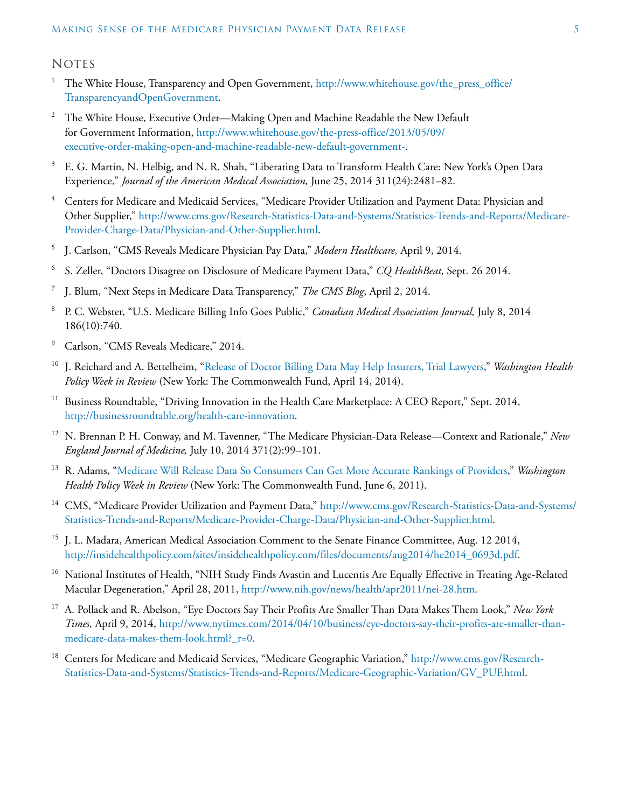### **NOTES**

- <sup>1</sup> The White House, Transparency and Open Government, [http://www.whitehouse.gov/the\\_press\\_office/](http://www.whitehouse.gov/the_press_office/TransparencyandOpenGovernment) [TransparencyandOpenGovernment.](http://www.whitehouse.gov/the_press_office/TransparencyandOpenGovernment)
- <sup>2</sup> The White House, Executive Order—Making Open and Machine Readable the New Default for Government Information, [http://www.whitehouse.gov/the-press-office/2013/05/09/](http://www.whitehouse.gov/the-press-office/2013/05/09/executive-order-making-open-and-machine-readable-new-default-government-) [executive-order-making-open-and-machine-readable-new-default-government-](http://www.whitehouse.gov/the-press-office/2013/05/09/executive-order-making-open-and-machine-readable-new-default-government-).
- <sup>3</sup> E. G. Martin, N. Helbig, and N. R. Shah, "Liberating Data to Transform Health Care: New York's Open Data Experience," *Journal of the American Medical Association,* June 25, 2014 311(24):2481–82.
- <sup>4</sup> Centers for Medicare and Medicaid Services, "Medicare Provider Utilization and Payment Data: Physician and Other Supplier," [http://www.cms.gov/Research-Statistics-Data-and-Systems/Statistics-Trends-and-Reports/Medicare-](http://www.cms.gov/Research-Statistics-Data-and-Systems/Statistics-Trends-and-Reports/Medicare-Provider-Charge-Data/Physician-and-Other-Supplier.html)[Provider-Charge-Data/Physician-and-Other-Supplier.html](http://www.cms.gov/Research-Statistics-Data-and-Systems/Statistics-Trends-and-Reports/Medicare-Provider-Charge-Data/Physician-and-Other-Supplier.html).
- <sup>5</sup> J. Carlson, "CMS Reveals Medicare Physician Pay Data," *Modern Healthcare,* April 9, 2014.
- <sup>6</sup> S. Zeller, "Doctors Disagree on Disclosure of Medicare Payment Data," *CQ HealthBeat*, Sept. 26 2014.
- <sup>7</sup> J. Blum, "Next Steps in Medicare Data Transparency," *The CMS Blog*, April 2, 2014.
- <sup>8</sup> P. C. Webster, "U.S. Medicare Billing Info Goes Public," *Canadian Medical Association Journal,* July 8, 2014 186(10):740.
- <sup>9</sup> Carlson, "CMS Reveals Medicare," 2014.
- <sup>10</sup> J. Reichard and A. Bettelheim, ["Release of Doctor Billing Data May Help Insurers, Trial Lawyers,](http://www.commonwealthfund.org/publications/newsletters/washington-health-policy-in-review/2014/apr/april-14-2014/release-of-doctor-billing-data-may-help-insurers)" *Washington Health Policy Week in Review* (New York: The Commonwealth Fund, April 14, 2014).
- <sup>11</sup> Business Roundtable, "Driving Innovation in the Health Care Marketplace: A CEO Report," Sept. 2014, [http://businessroundtable.org/health-care-innovation.](http://businessroundtable.org/health-care-innovation)
- <sup>12</sup> N. Brennan P. H. Conway, and M. Tavenner, "The Medicare Physician-Data Release—Context and Rationale," *New England Journal of Medicine,* July 10, 2014 371(2):99–101.
- <sup>13</sup> R. Adams, "[Medicare Will Release Data So Consumers Can Get More Accurate Rankings of Providers](http://www.commonwealthfund.org/publications/newsletters/washington-health-policy-in-review/2011/jun/june-6-2011/medicare-will-release-data)," *Washington Health Policy Week in Review* (New York: The Commonwealth Fund, June 6, 2011).
- <sup>14</sup> CMS, "Medicare Provider Utilization and Payment Data," [http://www.cms.gov/Research-Statistics-Data-and-Systems/](http://www.cms.gov/Research-Statistics-Data-and-Systems/Statistics-Trends-and-Reports/Medicare-Provider-Charge-Data/Physician-and-Other-Supplier.html) [Statistics-Trends-and-Reports/Medicare-Provider-Charge-Data/Physician-and-Other-Supplier.html.](http://www.cms.gov/Research-Statistics-Data-and-Systems/Statistics-Trends-and-Reports/Medicare-Provider-Charge-Data/Physician-and-Other-Supplier.html)
- <sup>15</sup> J. L. Madara, American Medical Association Comment to the Senate Finance Committee, Aug. 12 2014, [http://insidehealthpolicy.com/sites/insidehealthpolicy.com/files/documents/aug2014/he2014\\_0693d.pdf](http://insidehealthpolicy.com/sites/insidehealthpolicy.com/files/documents/aug2014/he2014_0693d.pdf).
- <sup>16</sup> National Institutes of Health, "NIH Study Finds Avastin and Lucentis Are Equally Effective in Treating Age-Related Macular Degeneration," April 28, 2011, <http://www.nih.gov/news/health/apr2011/nei-28.htm>.
- <sup>17</sup> A. Pollack and R. Abelson, "Eye Doctors Say Their Profits Are Smaller Than Data Makes Them Look," *New York Times,* April 9, 2014, [http://www.nytimes.com/2014/04/10/business/eye-doctors-say-their-profits-are-smaller-than](http://www.nytimes.com/2014/04/10/business/eye-doctors-say-their-profits-are-smaller-than-medicare-data-makes-them-look.html?_r=0)[medicare-data-makes-them-look.html?\\_r=0](http://www.nytimes.com/2014/04/10/business/eye-doctors-say-their-profits-are-smaller-than-medicare-data-makes-them-look.html?_r=0).
- <sup>18</sup> Centers for Medicare and Medicaid Services, "Medicare Geographic Variation," [http://www.cms.gov/Research-](http://www.cms.gov/Research-Statistics-Data-and-Systems/Statistics-Trends-and-Reports/Medicare-Geographic-Variation/GV_PUF.html)[Statistics-Data-and-Systems/Statistics-Trends-and-Reports/Medicare-Geographic-Variation/GV\\_PUF.html](http://www.cms.gov/Research-Statistics-Data-and-Systems/Statistics-Trends-and-Reports/Medicare-Geographic-Variation/GV_PUF.html).